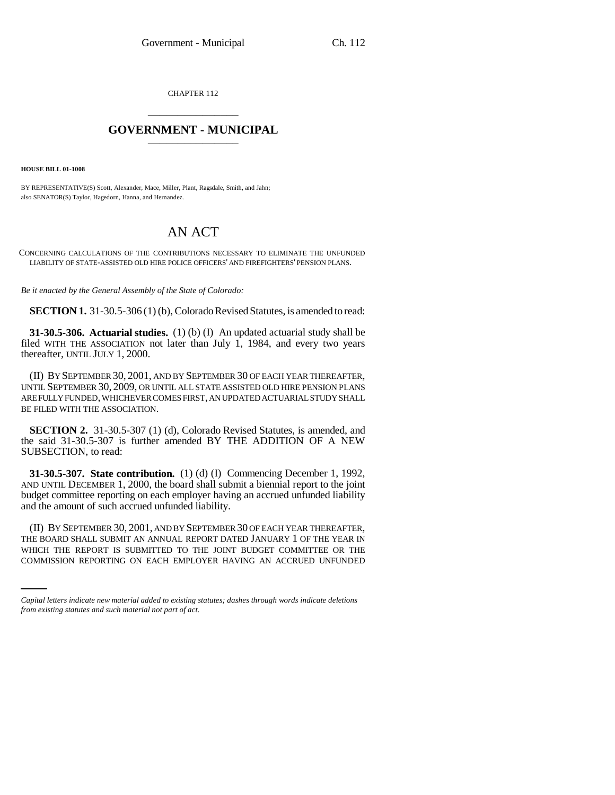CHAPTER 112 \_\_\_\_\_\_\_\_\_\_\_\_\_\_\_

## **GOVERNMENT - MUNICIPAL** \_\_\_\_\_\_\_\_\_\_\_\_\_\_\_

**HOUSE BILL 01-1008**

BY REPRESENTATIVE(S) Scott, Alexander, Mace, Miller, Plant, Ragsdale, Smith, and Jahn; also SENATOR(S) Taylor, Hagedorn, Hanna, and Hernandez.

## AN ACT

CONCERNING CALCULATIONS OF THE CONTRIBUTIONS NECESSARY TO ELIMINATE THE UNFUNDED LIABILITY OF STATE-ASSISTED OLD HIRE POLICE OFFICERS' AND FIREFIGHTERS' PENSION PLANS.

*Be it enacted by the General Assembly of the State of Colorado:*

**SECTION 1.** 31-30.5-306 (1) (b), Colorado Revised Statutes, is amended to read:

**31-30.5-306. Actuarial studies.** (1) (b) (I) An updated actuarial study shall be filed WITH THE ASSOCIATION not later than July 1, 1984, and every two years thereafter, UNTIL JULY 1, 2000.

(II) BY SEPTEMBER 30, 2001, AND BY SEPTEMBER 30 OF EACH YEAR THEREAFTER, UNTIL SEPTEMBER 30, 2009, OR UNTIL ALL STATE ASSISTED OLD HIRE PENSION PLANS ARE FULLY FUNDED, WHICHEVER COMES FIRST, AN UPDATED ACTUARIAL STUDY SHALL BE FILED WITH THE ASSOCIATION.

**SECTION 2.** 31-30.5-307 (1) (d), Colorado Revised Statutes, is amended, and the said 31-30.5-307 is further amended BY THE ADDITION OF A NEW SUBSECTION, to read:

**31-30.5-307. State contribution.** (1) (d) (I) Commencing December 1, 1992, AND UNTIL DECEMBER 1, 2000, the board shall submit a biennial report to the joint budget committee reporting on each employer having an accrued unfunded liability and the amount of such accrued unfunded liability.

THE BOARD SHALL SUBMIT AN ANNUAL REPORT DATED JANUARY 1 OF THE YEAR IN (II) BY SEPTEMBER 30, 2001, AND BY SEPTEMBER 30 OF EACH YEAR THEREAFTER, WHICH THE REPORT IS SUBMITTED TO THE JOINT BUDGET COMMITTEE OR THE COMMISSION REPORTING ON EACH EMPLOYER HAVING AN ACCRUED UNFUNDED

*Capital letters indicate new material added to existing statutes; dashes through words indicate deletions from existing statutes and such material not part of act.*